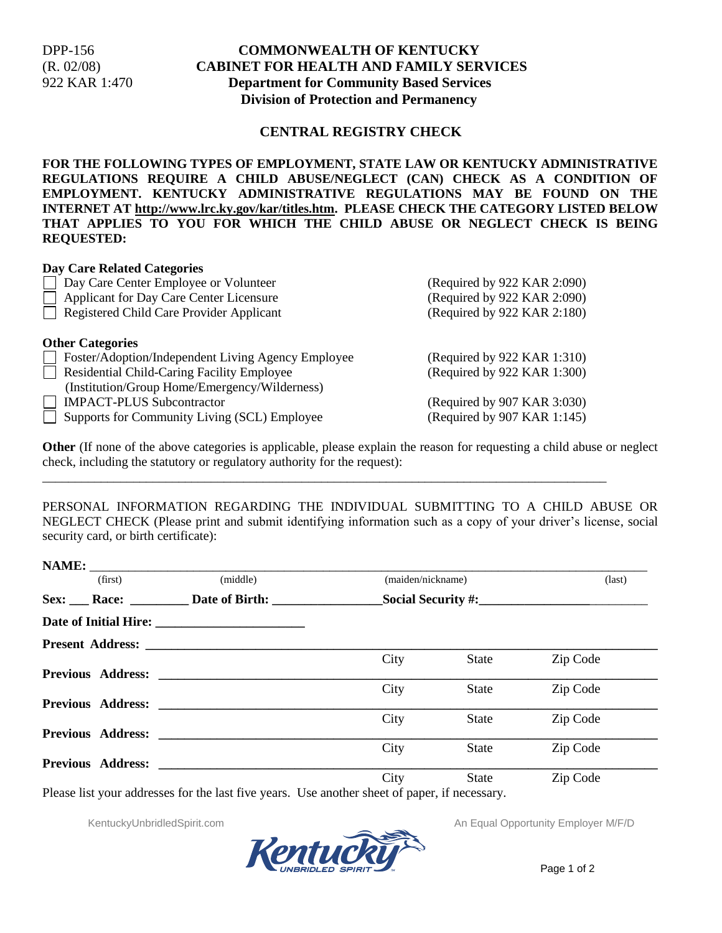## DPP-156 **COMMONWEALTH OF KENTUCKY** (R. 02/08) **CABINET FOR HEALTH AND FAMILY SERVICES** 922 KAR 1:470 **Department for Community Based Services Division of Protection and Permanency**

#### **CENTRAL REGISTRY CHECK**

**FOR THE FOLLOWING TYPES OF EMPLOYMENT, STATE LAW OR KENTUCKY ADMINISTRATIVE REGULATIONS REQUIRE A CHILD ABUSE/NEGLECT (CAN) CHECK AS A CONDITION OF EMPLOYMENT. KENTUCKY ADMINISTRATIVE REGULATIONS MAY BE FOUND ON THE INTERNET AT http://www.lrc.ky.gov/kar/titles.htm. PLEASE CHECK THE CATEGORY LISTED BELOW THAT APPLIES TO YOU FOR WHICH THE CHILD ABUSE OR NEGLECT CHECK IS BEING REQUESTED:**

#### **Day Care Related Categories**

| <b>Day Care Center Employee or Volunteer</b>                       | (Required by 922 KAR 2:090) |  |  |
|--------------------------------------------------------------------|-----------------------------|--|--|
| Applicant for Day Care Center Licensure                            | (Required by 922 KAR 2:090) |  |  |
| Registered Child Care Provider Applicant                           | (Required by 922 KAR 2:180) |  |  |
|                                                                    |                             |  |  |
| <b>Other Categories</b>                                            |                             |  |  |
| <b>Solution</b> Foster/Adoption/Independent Living Agency Employee | (Required by 922 KAR 1:310) |  |  |
| Residential Child-Caring Facility Employee                         | (Required by 922 KAR 1:300) |  |  |
| (Institution/Group Home/Emergency/Wilderness)                      |                             |  |  |
| <b>IMPACT-PLUS Subcontractor</b>                                   | (Required by 907 KAR 3:030) |  |  |
| Supports for Community Living (SCL) Employee                       | (Required by 907 KAR 1:145) |  |  |

\_\_\_\_\_\_\_\_\_\_\_\_\_\_\_\_\_\_\_\_\_\_\_\_\_\_\_\_\_\_\_\_\_\_\_\_\_\_\_\_\_\_\_\_\_\_\_\_\_\_\_\_\_\_\_\_\_\_\_\_\_\_\_\_\_\_\_\_\_\_\_\_\_\_\_\_\_\_\_\_\_\_\_\_\_\_\_

**Other** (If none of the above categories is applicable, please explain the reason for requesting a child abuse or neglect check, including the statutory or regulatory authority for the request):

PERSONAL INFORMATION REGARDING THE INDIVIDUAL SUBMITTING TO A CHILD ABUSE OR NEGLECT CHECK (Please print and submit identifying information such as a copy of your driver's license, social security card, or birth certificate):

| (first) | (middle)                  | (maiden/nickname) |              | $\text{(last)}$ |
|---------|---------------------------|-------------------|--------------|-----------------|
|         | Sex: Race: Date of Birth: |                   |              |                 |
|         |                           |                   |              |                 |
|         | <b>Present Address:</b>   |                   |              |                 |
|         |                           | City              | State        | Zip Code        |
|         |                           |                   |              |                 |
|         |                           | City              | <b>State</b> | Zip Code        |
|         |                           |                   |              |                 |
|         |                           | City              | <b>State</b> | Zip Code        |
|         | <b>Previous Address:</b>  |                   |              |                 |
|         |                           | City              | <b>State</b> | Zip Code        |
|         |                           |                   |              |                 |
|         |                           | City              | State        | Zip Code        |



KentuckyUnbridledSpirit.com **An Equal Opportunity Employer M/F/D** An Equal Opportunity Employer M/F/D

Page 1 of 2